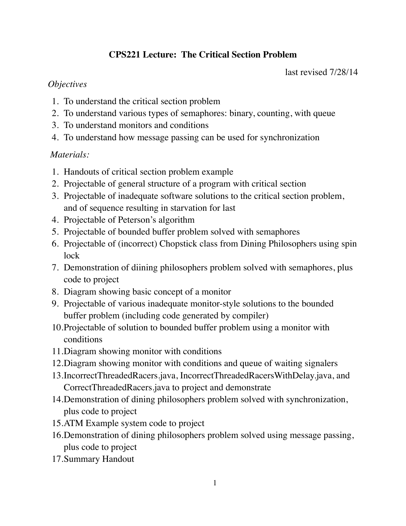# **CPS221 Lecture: The Critical Section Problem**

last revised 7/28/14

## *Objectives*

- 1. To understand the critical section problem
- 2. To understand various types of semaphores: binary, counting, with queue
- 3. To understand monitors and conditions
- 4. To understand how message passing can be used for synchronization

# *Materials:*

- 1. Handouts of critical section problem example
- 2. Projectable of general structure of a program with critical section
- 3. Projectable of inadequate software solutions to the critical section problem, and of sequence resulting in starvation for last
- 4. Projectable of Peterson's algorithm
- 5. Projectable of bounded buffer problem solved with semaphores
- 6. Projectable of (incorrect) Chopstick class from Dining Philosophers using spin lock
- 7. Demonstration of diining philosophers problem solved with semaphores, plus code to project
- 8. Diagram showing basic concept of a monitor
- 9. Projectable of various inadequate monitor-style solutions to the bounded buffer problem (including code generated by compiler)
- 10.Projectable of solution to bounded buffer problem using a monitor with conditions
- 11.Diagram showing monitor with conditions
- 12.Diagram showing monitor with conditions and queue of waiting signalers
- 13.IncorrectThreadedRacers.java, IncorrectThreadedRacersWithDelay.java, and CorrectThreadedRacers.java to project and demonstrate
- 14.Demonstration of dining philosophers problem solved with synchronization, plus code to project
- 15.ATM Example system code to project
- 16.Demonstration of dining philosophers problem solved using message passing, plus code to project
- 17.Summary Handout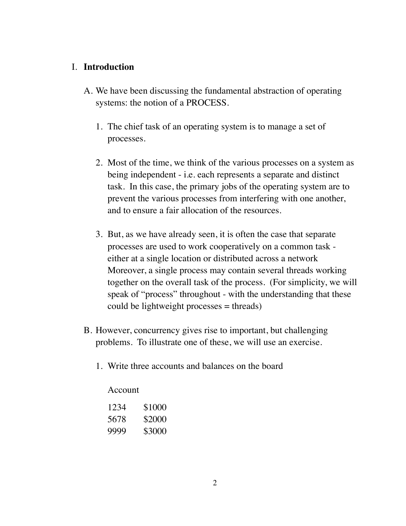## I. **Introduction**

- A. We have been discussing the fundamental abstraction of operating systems: the notion of a PROCESS.
	- 1. The chief task of an operating system is to manage a set of processes.
	- 2. Most of the time, we think of the various processes on a system as being independent - i.e. each represents a separate and distinct task. In this case, the primary jobs of the operating system are to prevent the various processes from interfering with one another, and to ensure a fair allocation of the resources.
	- 3. But, as we have already seen, it is often the case that separate processes are used to work cooperatively on a common task either at a single location or distributed across a network Moreover, a single process may contain several threads working together on the overall task of the process. (For simplicity, we will speak of "process" throughout - with the understanding that these could be lightweight processes = threads)
- B. However, concurrency gives rise to important, but challenging problems. To illustrate one of these, we will use an exercise.
	- 1. Write three accounts and balances on the board

Account

| 1234 | \$1000 |
|------|--------|
| 5678 | \$2000 |
| 9999 | \$3000 |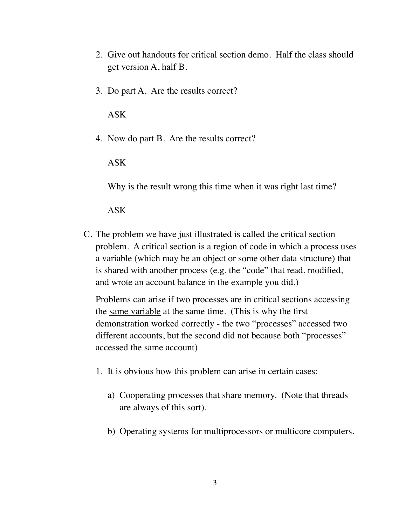- 2. Give out handouts for critical section demo. Half the class should get version A, half B.
- 3. Do part A. Are the results correct?

ASK

4. Now do part B. Are the results correct?

ASK

Why is the result wrong this time when it was right last time?

ASK

C. The problem we have just illustrated is called the critical section problem. A critical section is a region of code in which a process uses a variable (which may be an object or some other data structure) that is shared with another process (e.g. the "code" that read, modified, and wrote an account balance in the example you did.)

Problems can arise if two processes are in critical sections accessing the same variable at the same time. (This is why the first demonstration worked correctly - the two "processes" accessed two different accounts, but the second did not because both "processes" accessed the same account)

- 1. It is obvious how this problem can arise in certain cases:
	- a) Cooperating processes that share memory. (Note that threads are always of this sort).
	- b) Operating systems for multiprocessors or multicore computers.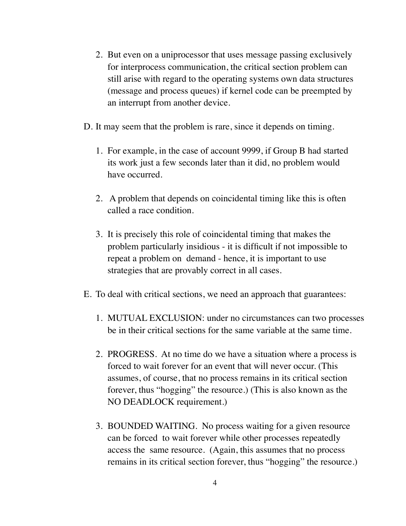- 2. But even on a uniprocessor that uses message passing exclusively for interprocess communication, the critical section problem can still arise with regard to the operating systems own data structures (message and process queues) if kernel code can be preempted by an interrupt from another device.
- D. It may seem that the problem is rare, since it depends on timing.
	- 1. For example, in the case of account 9999, if Group B had started its work just a few seconds later than it did, no problem would have occurred.
	- 2. A problem that depends on coincidental timing like this is often called a race condition.
	- 3. It is precisely this role of coincidental timing that makes the problem particularly insidious - it is difficult if not impossible to repeat a problem on demand - hence, it is important to use strategies that are provably correct in all cases.
- E. To deal with critical sections, we need an approach that guarantees:
	- 1. MUTUAL EXCLUSION: under no circumstances can two processes be in their critical sections for the same variable at the same time.
	- 2. PROGRESS. At no time do we have a situation where a process is forced to wait forever for an event that will never occur. (This assumes, of course, that no process remains in its critical section forever, thus "hogging" the resource.) (This is also known as the NO DEADLOCK requirement.)
	- 3. BOUNDED WAITING. No process waiting for a given resource can be forced to wait forever while other processes repeatedly access the same resource. (Again, this assumes that no process remains in its critical section forever, thus "hogging" the resource.)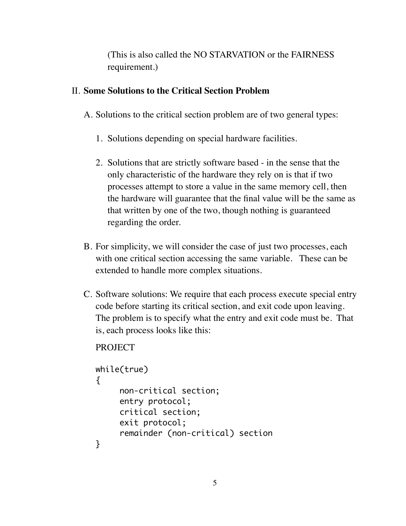(This is also called the NO STARVATION or the FAIRNESS requirement.)

## II. **Some Solutions to the Critical Section Problem**

- A. Solutions to the critical section problem are of two general types:
	- 1. Solutions depending on special hardware facilities.
	- 2. Solutions that are strictly software based in the sense that the only characteristic of the hardware they rely on is that if two processes attempt to store a value in the same memory cell, then the hardware will guarantee that the final value will be the same as that written by one of the two, though nothing is guaranteed regarding the order.
- B. For simplicity, we will consider the case of just two processes, each with one critical section accessing the same variable. These can be extended to handle more complex situations.
- C. Software solutions: We require that each process execute special entry code before starting its critical section, and exit code upon leaving. The problem is to specify what the entry and exit code must be. That is, each process looks like this:

```
while(true)
{
     non-critical section;
     entry protocol;
     critical section;
     exit protocol;
     remainder (non-critical) section
}
```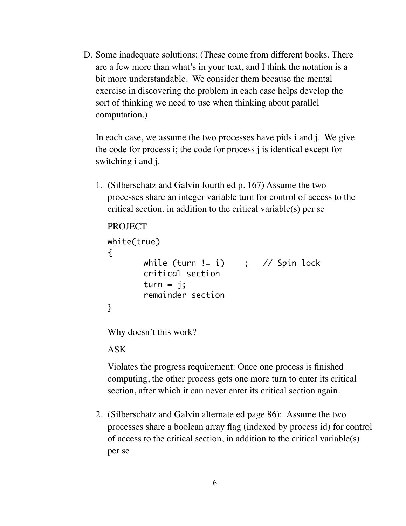D. Some inadequate solutions: (These come from different books. There are a few more than what's in your text, and I think the notation is a bit more understandable. We consider them because the mental exercise in discovering the problem in each case helps develop the sort of thinking we need to use when thinking about parallel computation.)

In each case, we assume the two processes have pids i and j. We give the code for process i; the code for process j is identical except for switching i and j.

1. (Silberschatz and Galvin fourth ed p. 167) Assume the two processes share an integer variable turn for control of access to the critical section, in addition to the critical variable(s) per se

```
PROJECT
white(true)
{
       while (turn != i) ; // Spin lock
       critical section
       turn = j;remainder section
}
```
Why doesn't this work?

#### ASK

Violates the progress requirement: Once one process is finished computing, the other process gets one more turn to enter its critical section, after which it can never enter its critical section again.

2. (Silberschatz and Galvin alternate ed page 86): Assume the two processes share a boolean array flag (indexed by process id) for control of access to the critical section, in addition to the critical variable(s) per se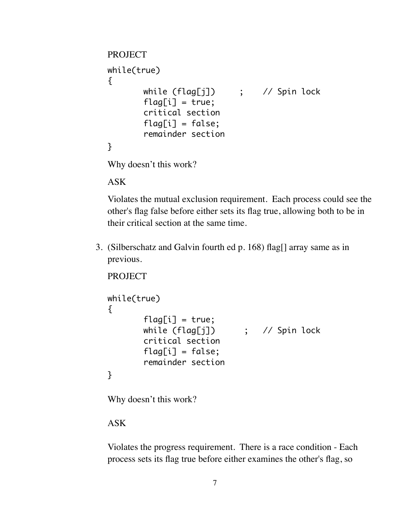```
PROJECT
while(true)
{
       while (flag[j]) ; // Spin lock
       flag[i] = true;critical section
       flaafi] = false:
       remainder section
}
```
Why doesn't this work?

ASK

Violates the mutual exclusion requirement. Each process could see the other's flag false before either sets its flag true, allowing both to be in their critical section at the same time.

3. (Silberschatz and Galvin fourth ed p. 168) flag[] array same as in previous.

```
PROJECT
while(true)
{
       flag[i] = true;while (flag[j]) ; // Spin lock
       critical section
       flag[i] = false;remainder section
}
```
Why doesn't this work?

## ASK

Violates the progress requirement. There is a race condition - Each process sets its flag true before either examines the other's flag, so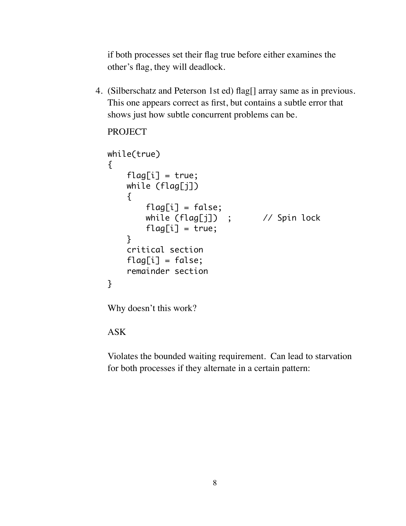if both processes set their flag true before either examines the other's flag, they will deadlock.

4. (Silberschatz and Peterson 1st ed) flag[] array same as in previous. This one appears correct as first, but contains a subtle error that shows just how subtle concurrent problems can be.

```
PROJECT
```

```
while(true)
{
   flag[i] = true; while (flag[j])
    {f}flag[i] = false;while (flag[j]) ; // Spin lock
        flag[i] = true; }
     critical section
   flag[i] = false; remainder section
}
```
Why doesn't this work?

ASK

Violates the bounded waiting requirement. Can lead to starvation for both processes if they alternate in a certain pattern: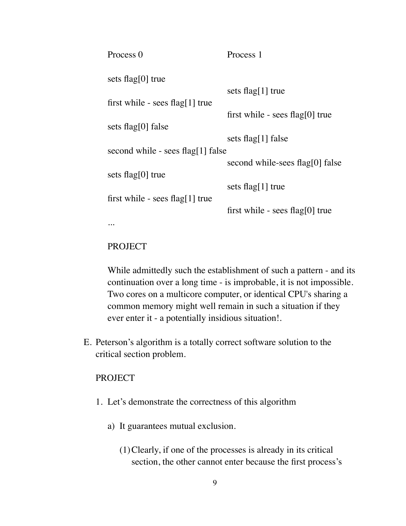| Process 0                           | Process 1                       |
|-------------------------------------|---------------------------------|
| sets flag[0] true                   |                                 |
|                                     | sets flag[1] true               |
| first while - sees $flag[1]$ true   |                                 |
|                                     | first while - sees flag[0] true |
| sets flag $[0]$ false               |                                 |
|                                     | sets flag[1] false              |
| second while - sees $flag[1]$ false |                                 |
|                                     | second while-sees flag[0] false |
| sets flag[0] true                   |                                 |
|                                     | sets flag[1] true               |
| first while - sees $flag[1]$ true   |                                 |
|                                     | first while - sees flag[0] true |
|                                     |                                 |

#### PROJECT

While admittedly such the establishment of such a pattern - and its continuation over a long time - is improbable, it is not impossible. Two cores on a multicore computer, or identical CPU's sharing a common memory might well remain in such a situation if they ever enter it - a potentially insidious situation!.

E. Peterson's algorithm is a totally correct software solution to the critical section problem.

- 1. Let's demonstrate the correctness of this algorithm
	- a) It guarantees mutual exclusion.
		- (1)Clearly, if one of the processes is already in its critical section, the other cannot enter because the first process's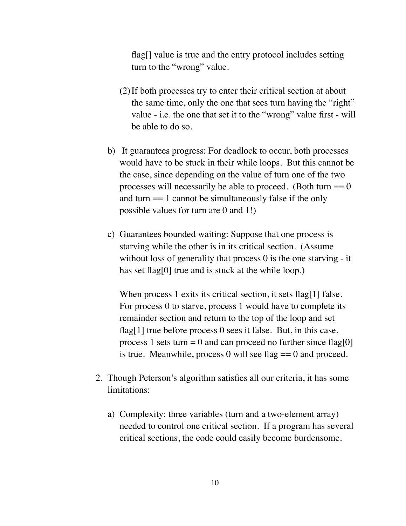flag[] value is true and the entry protocol includes setting turn to the "wrong" value.

- (2)If both processes try to enter their critical section at about the same time, only the one that sees turn having the "right" value - i.e. the one that set it to the "wrong" value first - will be able to do so.
- b) It guarantees progress: For deadlock to occur, both processes would have to be stuck in their while loops. But this cannot be the case, since depending on the value of turn one of the two processes will necessarily be able to proceed. (Both turn  $== 0$ ) and turn  $== 1$  cannot be simultaneously false if the only possible values for turn are 0 and 1!)
- c) Guarantees bounded waiting: Suppose that one process is starving while the other is in its critical section. (Assume without loss of generality that process 0 is the one starving - it has set flag<sup>[0]</sup> true and is stuck at the while loop.)

When process 1 exits its critical section, it sets flag[1] false. For process 0 to starve, process 1 would have to complete its remainder section and return to the top of the loop and set flag[1] true before process 0 sees it false. But, in this case, process 1 sets turn = 0 and can proceed no further since flag[0] is true. Meanwhile, process 0 will see flag  $== 0$  and proceed.

- 2. Though Peterson's algorithm satisfies all our criteria, it has some limitations:
	- a) Complexity: three variables (turn and a two-element array) needed to control one critical section. If a program has several critical sections, the code could easily become burdensome.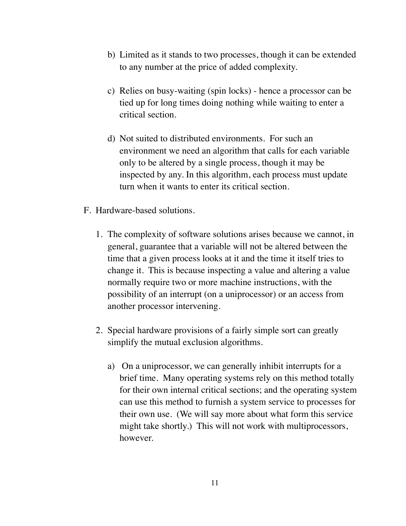- b) Limited as it stands to two processes, though it can be extended to any number at the price of added complexity.
- c) Relies on busy-waiting (spin locks) hence a processor can be tied up for long times doing nothing while waiting to enter a critical section.
- d) Not suited to distributed environments. For such an environment we need an algorithm that calls for each variable only to be altered by a single process, though it may be inspected by any. In this algorithm, each process must update turn when it wants to enter its critical section.
- F. Hardware-based solutions.
	- 1. The complexity of software solutions arises because we cannot, in general, guarantee that a variable will not be altered between the time that a given process looks at it and the time it itself tries to change it. This is because inspecting a value and altering a value normally require two or more machine instructions, with the possibility of an interrupt (on a uniprocessor) or an access from another processor intervening.
	- 2. Special hardware provisions of a fairly simple sort can greatly simplify the mutual exclusion algorithms.
		- a) On a uniprocessor, we can generally inhibit interrupts for a brief time. Many operating systems rely on this method totally for their own internal critical sections; and the operating system can use this method to furnish a system service to processes for their own use. (We will say more about what form this service might take shortly.) This will not work with multiprocessors, however.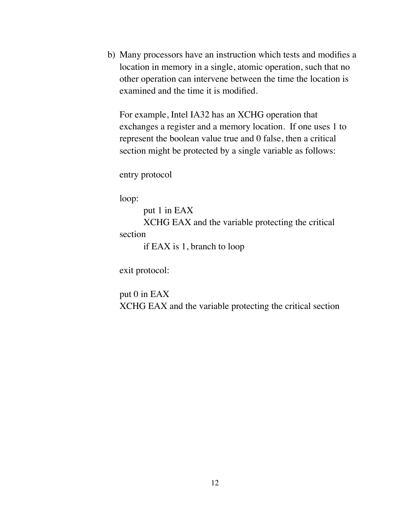b) Many processors have an instruction which tests and modifies a location in memory in a single, atomic operation, such that no other operation can intervene between the time the location is examined and the time it is modified.

For example, Intel IA32 has an XCHG operation that exchanges a register and a memory location. If one uses 1 to represent the boolean value true and 0 false, then a critical section might be protected by a single variable as follows:

entry protocol

loop:

put 1 in EAX XCHG EAX and the variable protecting the critical section

if EAX is 1, branch to loop

exit protocol:

put 0 in EAX XCHG EAX and the variable protecting the critical section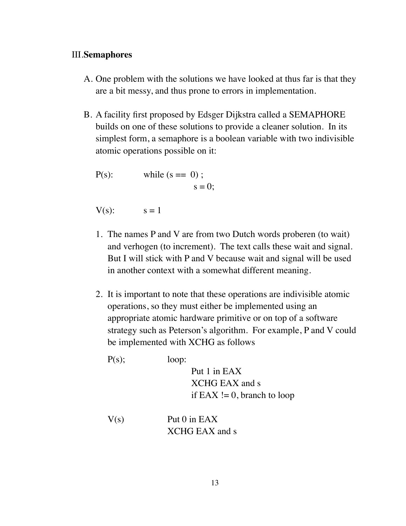## III.**Semaphores**

- A. One problem with the solutions we have looked at thus far is that they are a bit messy, and thus prone to errors in implementation.
- B. A facility first proposed by Edsger Dijkstra called a SEMAPHORE builds on one of these solutions to provide a cleaner solution. In its simplest form, a semaphore is a boolean variable with two indivisible atomic operations possible on it:

P(s): while (s == 0) ; s = 0;

 $V(s)$ :  $s = 1$ 

- 1. The names P and V are from two Dutch words proberen (to wait) and verhogen (to increment). The text calls these wait and signal. But I will stick with P and V because wait and signal will be used in another context with a somewhat different meaning.
- 2. It is important to note that these operations are indivisible atomic operations, so they must either be implemented using an appropriate atomic hardware primitive or on top of a software strategy such as Peterson's algorithm. For example, P and V could be implemented with XCHG as follows

 $P(s)$ ;  $loop:$ 

 Put 1 in EAX XCHG EAX and s if  $EAX \coloneq 0$ , branch to loop

 $V(s)$  Put 0 in EAX XCHG EAX and s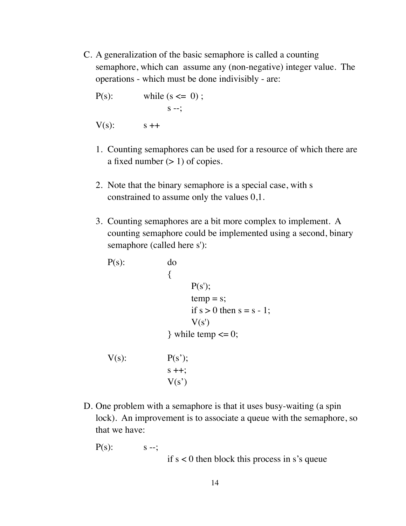C. A generalization of the basic semaphore is called a counting semaphore, which can assume any (non-negative) integer value. The operations - which must be done indivisibly - are:

P(s): while (s 
$$
\leq 0
$$
);  
s  $\rightarrow$ ;  
V(s): s++

- 1. Counting semaphores can be used for a resource of which there are a fixed number  $(> 1)$  of copies.
- 2. Note that the binary semaphore is a special case, with s constrained to assume only the values 0,1.
- 3. Counting semaphores are a bit more complex to implement. A counting semaphore could be implemented using a second, binary semaphore (called here s'):

```
P(s): do
\{P(s');
                 temp = s;
                 if s > 0 then s = s - 1;
                 V(s')} while temp \leq 0;
V(s): P(s');
            s + +;
            V(s')
```
- D. One problem with a semaphore is that it uses busy-waiting (a spin lock). An improvement is to associate a queue with the semaphore, so that we have:
	- $P(s)$ :  $s -$ ;

 if s < 0 then block this process in s's queue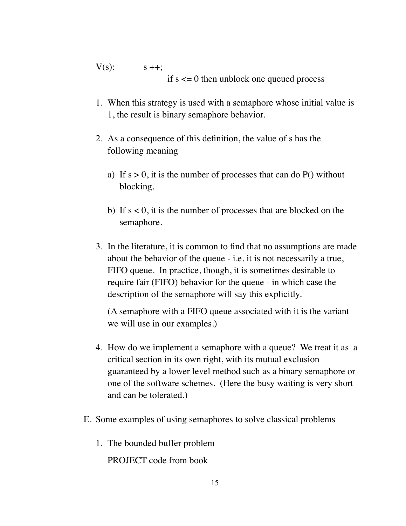$V(s)$ :  $s + +$ ; if  $s \leq 0$  then unblock one queued process

- 1. When this strategy is used with a semaphore whose initial value is 1, the result is binary semaphore behavior.
- 2. As a consequence of this definition, the value of s has the following meaning
	- a) If  $s > 0$ , it is the number of processes that can do P() without blocking.
	- b) If  $s < 0$ , it is the number of processes that are blocked on the semaphore.
- 3. In the literature, it is common to find that no assumptions are made about the behavior of the queue - i.e. it is not necessarily a true, FIFO queue. In practice, though, it is sometimes desirable to require fair (FIFO) behavior for the queue - in which case the description of the semaphore will say this explicitly.

(A semaphore with a FIFO queue associated with it is the variant we will use in our examples.)

- 4. How do we implement a semaphore with a queue? We treat it as a critical section in its own right, with its mutual exclusion guaranteed by a lower level method such as a binary semaphore or one of the software schemes. (Here the busy waiting is very short and can be tolerated.)
- E. Some examples of using semaphores to solve classical problems
	- 1. The bounded buffer problem

PROJECT code from book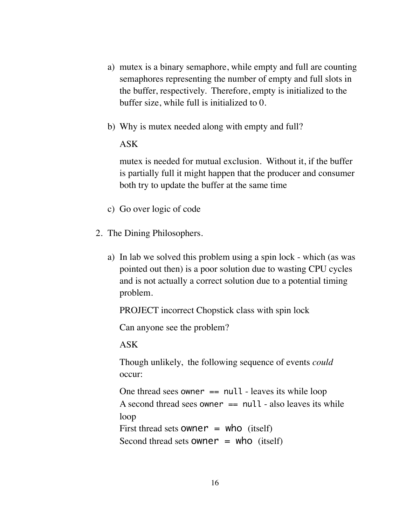- a) mutex is a binary semaphore, while empty and full are counting semaphores representing the number of empty and full slots in the buffer, respectively. Therefore, empty is initialized to the buffer size, while full is initialized to 0.
- b) Why is mutex needed along with empty and full?

#### ASK

mutex is needed for mutual exclusion. Without it, if the buffer is partially full it might happen that the producer and consumer both try to update the buffer at the same time

- c) Go over logic of code
- 2. The Dining Philosophers.
	- a) In lab we solved this problem using a spin lock which (as was pointed out then) is a poor solution due to wasting CPU cycles and is not actually a correct solution due to a potential timing problem.

PROJECT incorrect Chopstick class with spin lock

Can anyone see the problem?

ASK

Though unlikely, the following sequence of events *could* occur:

One thread sees owner  $==$  null - leaves its while loop A second thread sees owner  $==$  null - also leaves its while loop First thread sets **owner** = who (itself) Second thread sets **owner** = who (itself)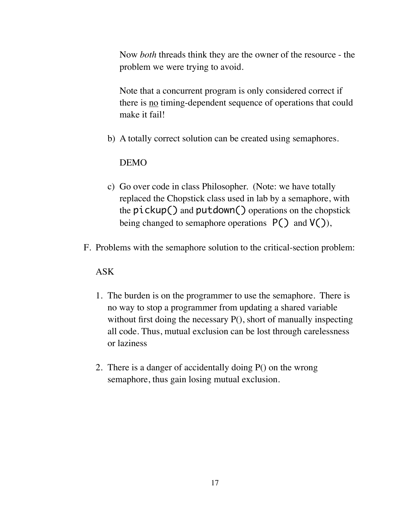Now *both* threads think they are the owner of the resource - the problem we were trying to avoid.

Note that a concurrent program is only considered correct if there is no timing-dependent sequence of operations that could make it fail!

b) A totally correct solution can be created using semaphores.

#### DEMO

- c) Go over code in class Philosopher. (Note: we have totally replaced the Chopstick class used in lab by a semaphore, with the  $pickup()$  and  $putdown()$  operations on the chopstick being changed to semaphore operations  $P()$  and  $V()$ ,
- F. Problems with the semaphore solution to the critical-section problem:

### ASK

- 1. The burden is on the programmer to use the semaphore. There is no way to stop a programmer from updating a shared variable without first doing the necessary P(), short of manually inspecting all code. Thus, mutual exclusion can be lost through carelessness or laziness
- 2. There is a danger of accidentally doing P() on the wrong semaphore, thus gain losing mutual exclusion.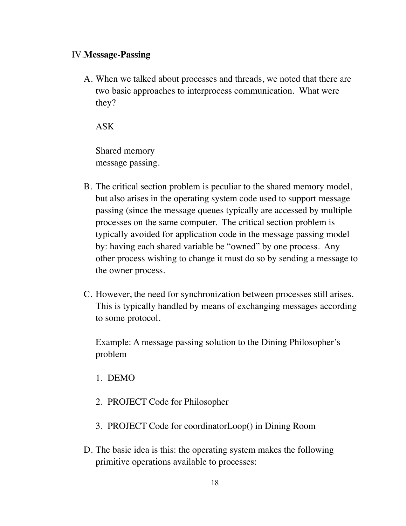#### IV.**Message-Passing**

A. When we talked about processes and threads, we noted that there are two basic approaches to interprocess communication. What were they?

ASK

Shared memory message passing.

- B. The critical section problem is peculiar to the shared memory model, but also arises in the operating system code used to support message passing (since the message queues typically are accessed by multiple processes on the same computer. The critical section problem is typically avoided for application code in the message passing model by: having each shared variable be "owned" by one process. Any other process wishing to change it must do so by sending a message to the owner process.
- C. However, the need for synchronization between processes still arises. This is typically handled by means of exchanging messages according to some protocol.

Example: A message passing solution to the Dining Philosopher's problem

- 1. DEMO
- 2. PROJECT Code for Philosopher
- 3. PROJECT Code for coordinatorLoop() in Dining Room
- D. The basic idea is this: the operating system makes the following primitive operations available to processes: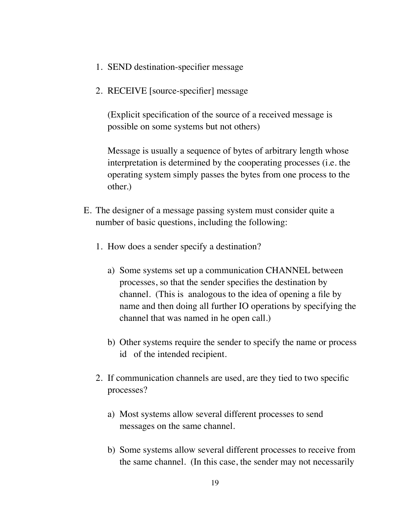- 1. SEND destination-specifier message
- 2. RECEIVE [source-specifier] message

(Explicit specification of the source of a received message is possible on some systems but not others)

Message is usually a sequence of bytes of arbitrary length whose interpretation is determined by the cooperating processes (i.e. the operating system simply passes the bytes from one process to the other.)

- E. The designer of a message passing system must consider quite a number of basic questions, including the following:
	- 1. How does a sender specify a destination?
		- a) Some systems set up a communication CHANNEL between processes, so that the sender specifies the destination by channel. (This is analogous to the idea of opening a file by name and then doing all further IO operations by specifying the channel that was named in he open call.)
		- b) Other systems require the sender to specify the name or process id of the intended recipient.
	- 2. If communication channels are used, are they tied to two specific processes?
		- a) Most systems allow several different processes to send messages on the same channel.
		- b) Some systems allow several different processes to receive from the same channel. (In this case, the sender may not necessarily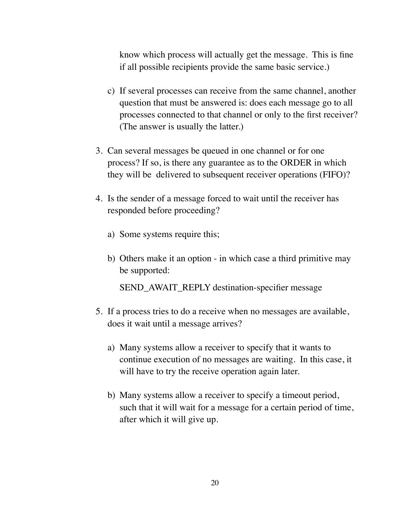know which process will actually get the message. This is fine if all possible recipients provide the same basic service.)

- c) If several processes can receive from the same channel, another question that must be answered is: does each message go to all processes connected to that channel or only to the first receiver? (The answer is usually the latter.)
- 3. Can several messages be queued in one channel or for one process? If so, is there any guarantee as to the ORDER in which they will be delivered to subsequent receiver operations (FIFO)?
- 4. Is the sender of a message forced to wait until the receiver has responded before proceeding?
	- a) Some systems require this;
	- b) Others make it an option in which case a third primitive may be supported:

SEND\_AWAIT\_REPLY destination-specifier message

- 5. If a process tries to do a receive when no messages are available, does it wait until a message arrives?
	- a) Many systems allow a receiver to specify that it wants to continue execution of no messages are waiting. In this case, it will have to try the receive operation again later.
	- b) Many systems allow a receiver to specify a timeout period, such that it will wait for a message for a certain period of time, after which it will give up.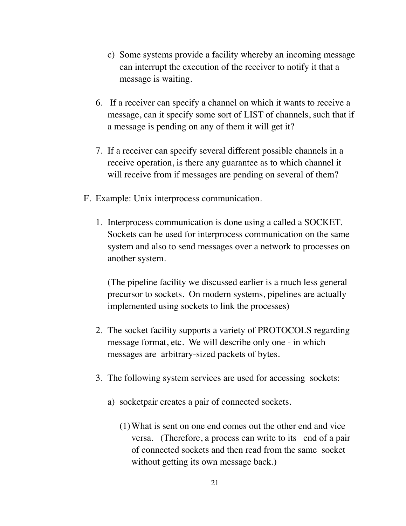- c) Some systems provide a facility whereby an incoming message can interrupt the execution of the receiver to notify it that a message is waiting.
- 6. If a receiver can specify a channel on which it wants to receive a message, can it specify some sort of LIST of channels, such that if a message is pending on any of them it will get it?
- 7. If a receiver can specify several different possible channels in a receive operation, is there any guarantee as to which channel it will receive from if messages are pending on several of them?
- F. Example: Unix interprocess communication.
	- 1. Interprocess communication is done using a called a SOCKET. Sockets can be used for interprocess communication on the same system and also to send messages over a network to processes on another system.

(The pipeline facility we discussed earlier is a much less general precursor to sockets. On modern systems, pipelines are actually implemented using sockets to link the processes)

- 2. The socket facility supports a variety of PROTOCOLS regarding message format, etc. We will describe only one - in which messages are arbitrary-sized packets of bytes.
- 3. The following system services are used for accessing sockets:
	- a) socketpair creates a pair of connected sockets.
		- (1)What is sent on one end comes out the other end and vice versa. (Therefore, a process can write to its end of a pair of connected sockets and then read from the same socket without getting its own message back.)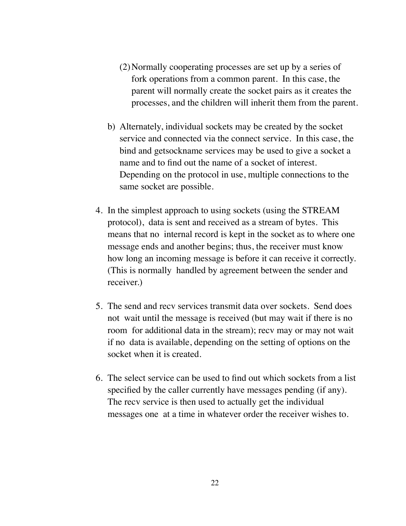- (2)Normally cooperating processes are set up by a series of fork operations from a common parent. In this case, the parent will normally create the socket pairs as it creates the processes, and the children will inherit them from the parent.
- b) Alternately, individual sockets may be created by the socket service and connected via the connect service. In this case, the bind and getsockname services may be used to give a socket a name and to find out the name of a socket of interest. Depending on the protocol in use, multiple connections to the same socket are possible.
- 4. In the simplest approach to using sockets (using the STREAM protocol), data is sent and received as a stream of bytes. This means that no internal record is kept in the socket as to where one message ends and another begins; thus, the receiver must know how long an incoming message is before it can receive it correctly. (This is normally handled by agreement between the sender and receiver.)
- 5. The send and recv services transmit data over sockets. Send does not wait until the message is received (but may wait if there is no room for additional data in the stream); recv may or may not wait if no data is available, depending on the setting of options on the socket when it is created.
- 6. The select service can be used to find out which sockets from a list specified by the caller currently have messages pending (if any). The recv service is then used to actually get the individual messages one at a time in whatever order the receiver wishes to.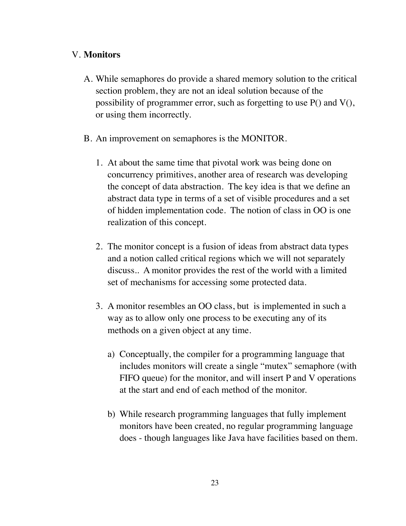## V. **Monitors**

- A. While semaphores do provide a shared memory solution to the critical section problem, they are not an ideal solution because of the possibility of programmer error, such as forgetting to use P() and V(), or using them incorrectly.
- B. An improvement on semaphores is the MONITOR.
	- 1. At about the same time that pivotal work was being done on concurrency primitives, another area of research was developing the concept of data abstraction. The key idea is that we define an abstract data type in terms of a set of visible procedures and a set of hidden implementation code. The notion of class in OO is one realization of this concept.
	- 2. The monitor concept is a fusion of ideas from abstract data types and a notion called critical regions which we will not separately discuss.. A monitor provides the rest of the world with a limited set of mechanisms for accessing some protected data.
	- 3. A monitor resembles an OO class, but is implemented in such a way as to allow only one process to be executing any of its methods on a given object at any time.
		- a) Conceptually, the compiler for a programming language that includes monitors will create a single "mutex" semaphore (with FIFO queue) for the monitor, and will insert P and V operations at the start and end of each method of the monitor.
		- b) While research programming languages that fully implement monitors have been created, no regular programming language does - though languages like Java have facilities based on them.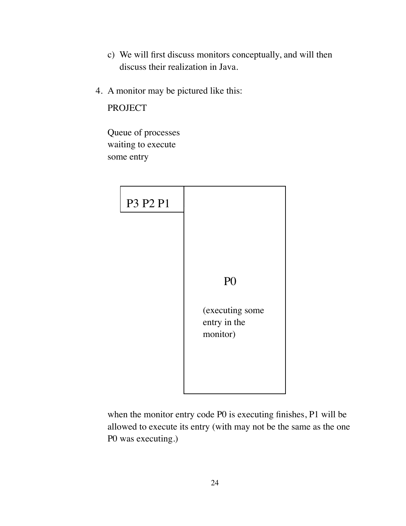- c) We will first discuss monitors conceptually, and will then discuss their realization in Java.
- 4. A monitor may be pictured like this:

PROJECT

Queue of processes waiting to execute some entry



when the monitor entry code P0 is executing finishes, P1 will be allowed to execute its entry (with may not be the same as the one P0 was executing.)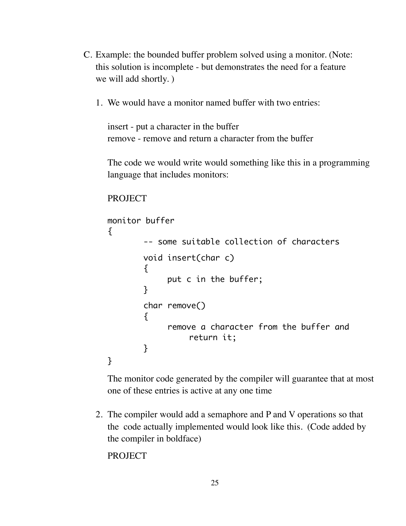- C. Example: the bounded buffer problem solved using a monitor. (Note: this solution is incomplete - but demonstrates the need for a feature we will add shortly. )
	- 1. We would have a monitor named buffer with two entries:

insert - put a character in the buffer remove - remove and return a character from the buffer

The code we would write would something like this in a programming language that includes monitors:

```
PROJECT
```

```
monitor buffer
{
        -- some suitable collection of characters
        void insert(char c)
        {
             	 	 put c in the buffer;
        }
        char remove()
        \{	 	 remove a character from the buffer and
                   return it;
        }
}
```
The monitor code generated by the compiler will guarantee that at most one of these entries is active at any one time

2. The compiler would add a semaphore and P and V operations so that the code actually implemented would look like this. (Code added by the compiler in boldface)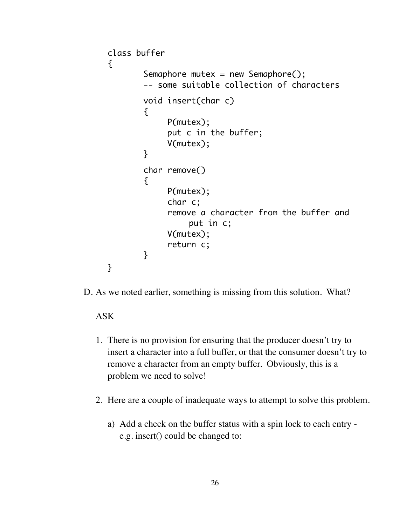```
class buffer
{
         Semaphore mutex = new Semaphore();
         -- some suitable collection of characters
         void insert(char c)
         {f}	 	 P(mutex);
               	 	 put c in the buffer;
               	 	 V(mutex);
         }
         char remove()
         {f}	 	 P(mutex);
               	 	 char c;
               	 	 remove a character from the buffer and 
                     put in c;
               	 	 V(mutex);
               	 	 return c;
         }
}
```
D. As we noted earlier, something is missing from this solution. What?

### ASK

- 1. There is no provision for ensuring that the producer doesn't try to insert a character into a full buffer, or that the consumer doesn't try to remove a character from an empty buffer. Obviously, this is a problem we need to solve!
- 2. Here are a couple of inadequate ways to attempt to solve this problem.
	- a) Add a check on the buffer status with a spin lock to each entry e.g. insert() could be changed to: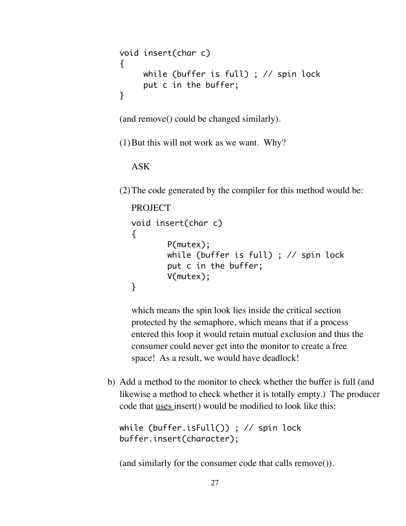```
void insert(char c)
\{while (buffer is full) ; // spin lock
     put c in the buffer;
}
```
(and remove() could be changed similarly).

 $(1)$  But this will not work as we want. Why?

ASK

(2)The code generated by the compiler for this method would be:

```
PROJECT
void insert(char c)
\{P(mutex);
       while (buffer is full) ; // spin lock
       put c in the buffer;
       V(mutex);
}
```
which means the spin look lies inside the critical section protected by the semaphore, which means that if a process entered this loop it would retain mutual exclusion and thus the consumer could never get into the monitor to create a free space! As a result, we would have deadlock!

b) Add a method to the monitor to check whether the buffer is full (and likewise a method to check whether it is totally empty.) The producer code that uses insert() would be modified to look like this:

```
while (buffer.isFull()) ; // spin lock
buffer.insert(character);
```
(and similarly for the consumer code that calls remove()).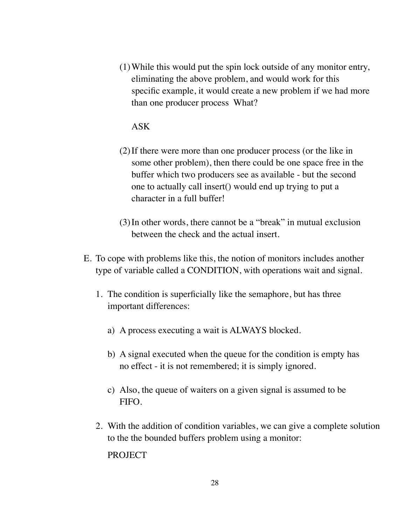(1)While this would put the spin lock outside of any monitor entry, eliminating the above problem, and would work for this specific example, it would create a new problem if we had more than one producer process What?

## ASK

- (2)If there were more than one producer process (or the like in some other problem), then there could be one space free in the buffer which two producers see as available - but the second one to actually call insert() would end up trying to put a character in a full buffer!
- (3)In other words, there cannot be a "break" in mutual exclusion between the check and the actual insert.
- E. To cope with problems like this, the notion of monitors includes another type of variable called a CONDITION, with operations wait and signal.
	- 1. The condition is superficially like the semaphore, but has three important differences:
		- a) A process executing a wait is ALWAYS blocked.
		- b) A signal executed when the queue for the condition is empty has no effect - it is not remembered; it is simply ignored.
		- c) Also, the queue of waiters on a given signal is assumed to be FIFO.
	- 2. With the addition of condition variables, we can give a complete solution to the the bounded buffers problem using a monitor: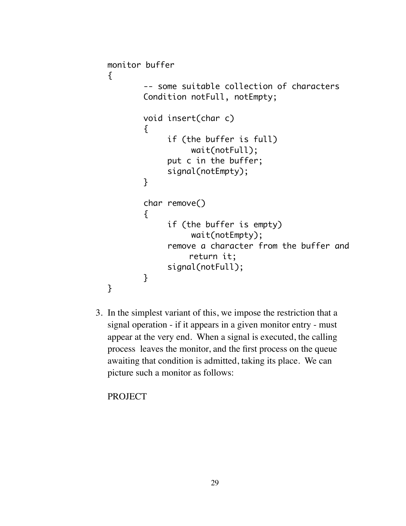```
monitor buffer
{
        -- some suitable collection of characters
        Condition notFull, notEmpty;
        void insert(char c)
        {
              	 	 if (the buffer is full)
                    	 		 wait(notFull);
              	 	 put c in the buffer;
              	 	 signal(notEmpty);
        }
        char remove()
        {
              	 	 if (the buffer is empty)
                    	 		 wait(notEmpty);
              	 	 remove a character from the buffer and
                    return it;
              	 	 signal(notFull);
        }
}
```
3. In the simplest variant of this, we impose the restriction that a signal operation - if it appears in a given monitor entry - must appear at the very end. When a signal is executed, the calling process leaves the monitor, and the first process on the queue awaiting that condition is admitted, taking its place. We can picture such a monitor as follows: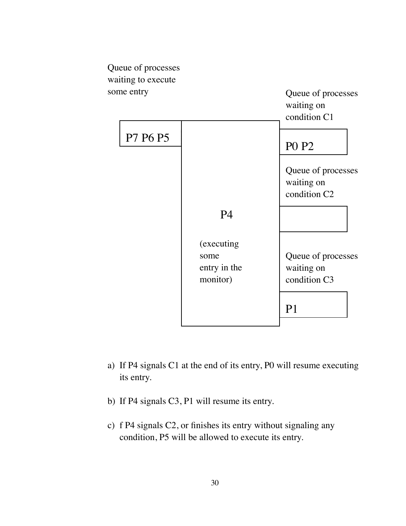

- a) If P4 signals C1 at the end of its entry, P0 will resume executing its entry.
- b) If P4 signals C3, P1 will resume its entry.
- c) f P4 signals C2, or finishes its entry without signaling any condition, P5 will be allowed to execute its entry.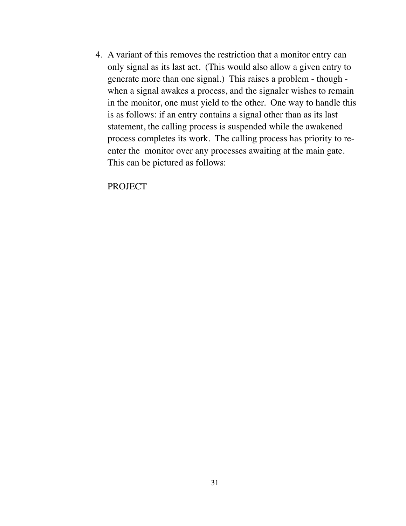4. A variant of this removes the restriction that a monitor entry can only signal as its last act. (This would also allow a given entry to generate more than one signal.) This raises a problem - though when a signal awakes a process, and the signaler wishes to remain in the monitor, one must yield to the other. One way to handle this is as follows: if an entry contains a signal other than as its last statement, the calling process is suspended while the awakened process completes its work. The calling process has priority to reenter the monitor over any processes awaiting at the main gate. This can be pictured as follows: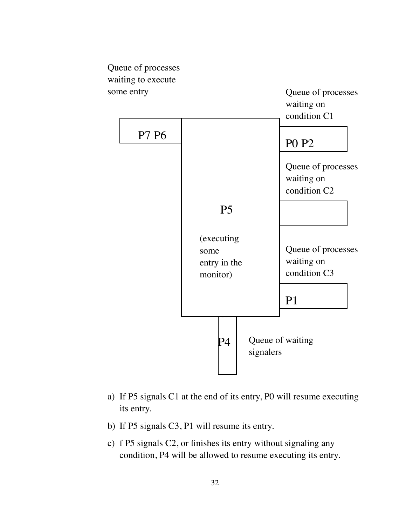

- a) If P5 signals C1 at the end of its entry, P0 will resume executing its entry.
- b) If P5 signals C3, P1 will resume its entry.
- c) f P5 signals C2, or finishes its entry without signaling any condition, P4 will be allowed to resume executing its entry.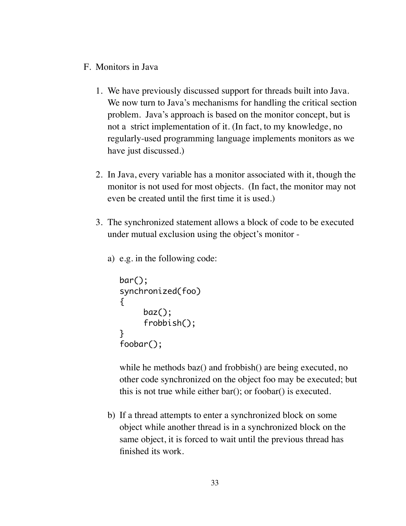- F. Monitors in Java
	- 1. We have previously discussed support for threads built into Java. We now turn to Java's mechanisms for handling the critical section problem. Java's approach is based on the monitor concept, but is not a strict implementation of it. (In fact, to my knowledge, no regularly-used programming language implements monitors as we have just discussed.)
	- 2. In Java, every variable has a monitor associated with it, though the monitor is not used for most objects. (In fact, the monitor may not even be created until the first time it is used.)
	- 3. The synchronized statement allows a block of code to be executed under mutual exclusion using the object's monitor
		- a) e.g. in the following code:

```
bar();
synchronized(foo)
\{baz();
     frobbish();
}
foobar();
```
while he methods baz() and frobbish() are being executed, no other code synchronized on the object foo may be executed; but this is not true while either bar(); or foobar() is executed.

b) If a thread attempts to enter a synchronized block on some object while another thread is in a synchronized block on the same object, it is forced to wait until the previous thread has finished its work.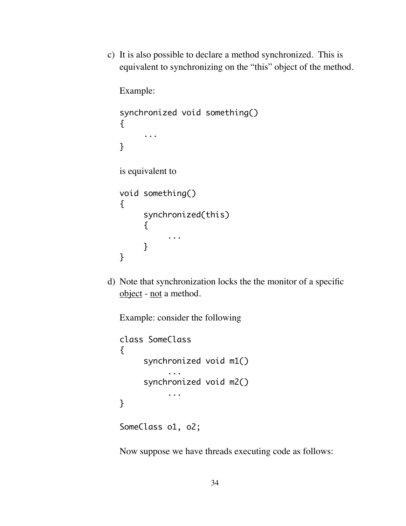c) It is also possible to declare a method synchronized. This is equivalent to synchronizing on the "this" object of the method.

Example:

```
synchronized void something()
\{...
}
is equivalent to
void something()
{
     synchronized(this)
      \{	 	 ...
     }
}
```
d) Note that synchronization locks the the monitor of a specific object - not a method.

Example: consider the following

```
class SomeClass
{
     synchronized void m1() 
            	 	 ...
     synchronized void m2() 
            	 	 ...
}
SomeClass o1, o2;
```
Now suppose we have threads executing code as follows: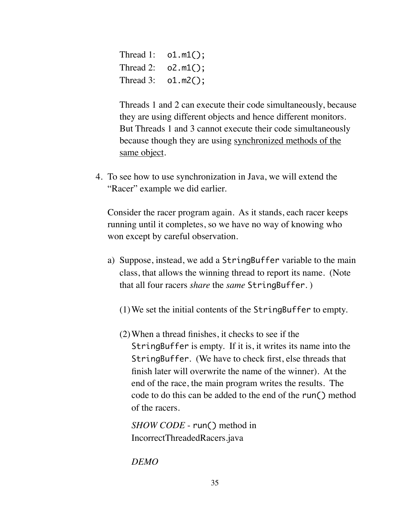Thread 1: o1.m1(); Thread 2:  $o2.m1()$ ; Thread 3: o1.m2();

Threads 1 and 2 can execute their code simultaneously, because they are using different objects and hence different monitors. But Threads 1 and 3 cannot execute their code simultaneously because though they are using synchronized methods of the same object.

4. To see how to use synchronization in Java, we will extend the "Racer" example we did earlier.

Consider the racer program again. As it stands, each racer keeps running until it completes, so we have no way of knowing who won except by careful observation.

- a) Suppose, instead, we add a StringBuffer variable to the main class, that allows the winning thread to report its name. (Note that all four racers *share* the *same* StringBuffer. )
	- (1)We set the initial contents of the StringBuffer to empty.
	- (2)When a thread finishes, it checks to see if the StringBuffer is empty. If it is, it writes its name into the StringBuffer. (We have to check first, else threads that finish later will overwrite the name of the winner). At the end of the race, the main program writes the results. The code to do this can be added to the end of the run() method of the racers.

*SHOW CODE* - run() method in IncorrectThreadedRacers.java

*DEMO*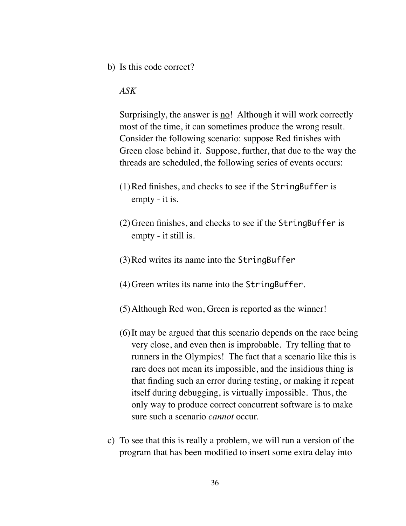b) Is this code correct?

## *ASK*

Surprisingly, the answer is no! Although it will work correctly most of the time, it can sometimes produce the wrong result. Consider the following scenario: suppose Red finishes with Green close behind it. Suppose, further, that due to the way the threads are scheduled, the following series of events occurs:

- (1)Red finishes, and checks to see if the StringBuffer is empty - it is.
- (2)Green finishes, and checks to see if the StringBuffer is empty - it still is.
- (3)Red writes its name into the StringBuffer
- (4)Green writes its name into the StringBuffer.
- (5)Although Red won, Green is reported as the winner!
- (6)It may be argued that this scenario depends on the race being very close, and even then is improbable. Try telling that to runners in the Olympics! The fact that a scenario like this is rare does not mean its impossible, and the insidious thing is that finding such an error during testing, or making it repeat itself during debugging, is virtually impossible. Thus, the only way to produce correct concurrent software is to make sure such a scenario *cannot* occur.
- c) To see that this is really a problem, we will run a version of the program that has been modified to insert some extra delay into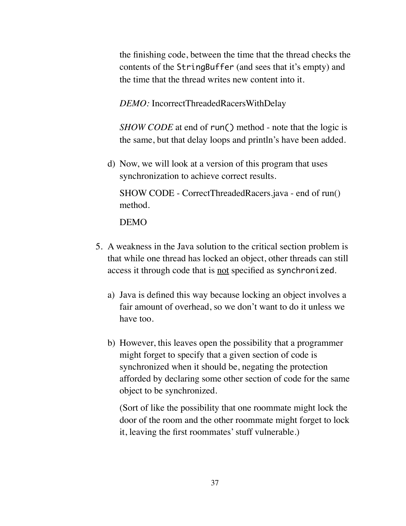the finishing code, between the time that the thread checks the contents of the StringBuffer (and sees that it's empty) and the time that the thread writes new content into it.

*DEMO:* IncorrectThreadedRacersWithDelay

*SHOW CODE* at end of run() method - note that the logic is the same, but that delay loops and println's have been added.

d) Now, we will look at a version of this program that uses synchronization to achieve correct results.

SHOW CODE - CorrectThreadedRacers.java - end of run() method.

DEMO

- 5. A weakness in the Java solution to the critical section problem is that while one thread has locked an object, other threads can still access it through code that is not specified as synchronized.
	- a) Java is defined this way because locking an object involves a fair amount of overhead, so we don't want to do it unless we have too.
	- b) However, this leaves open the possibility that a programmer might forget to specify that a given section of code is synchronized when it should be, negating the protection afforded by declaring some other section of code for the same object to be synchronized.

(Sort of like the possibility that one roommate might lock the door of the room and the other roommate might forget to lock it, leaving the first roommates' stuff vulnerable.)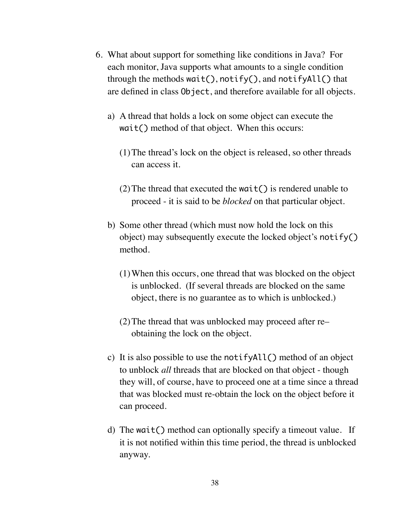- 6. What about support for something like conditions in Java? For each monitor, Java supports what amounts to a single condition through the methods wait(), notify(), and notifyAll() that are defined in class Object, and therefore available for all objects.
	- a) A thread that holds a lock on some object can execute the wait() method of that object. When this occurs:
		- (1)The thread's lock on the object is released, so other threads can access it.
		- (2) The thread that executed the wait  $()$  is rendered unable to proceed - it is said to be *blocked* on that particular object.
	- b) Some other thread (which must now hold the lock on this object) may subsequently execute the locked object's notify() method.
		- (1)When this occurs, one thread that was blocked on the object is unblocked. (If several threads are blocked on the same object, there is no guarantee as to which is unblocked.)
		- (2)The thread that was unblocked may proceed after re– obtaining the lock on the object.
	- c) It is also possible to use the notifyAll() method of an object to unblock *all* threads that are blocked on that object - though they will, of course, have to proceed one at a time since a thread that was blocked must re-obtain the lock on the object before it can proceed.
	- d) The wait() method can optionally specify a timeout value. If it is not notified within this time period, the thread is unblocked anyway.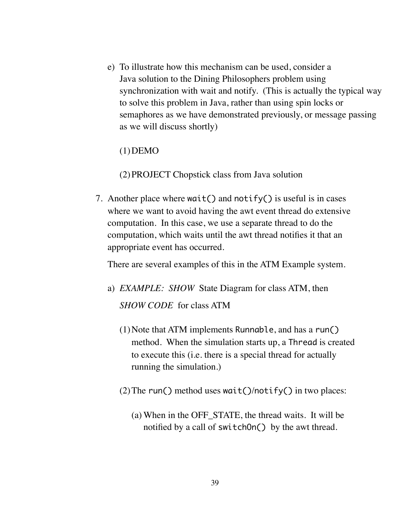e) To illustrate how this mechanism can be used, consider a Java solution to the Dining Philosophers problem using synchronization with wait and notify. (This is actually the typical way to solve this problem in Java, rather than using spin locks or semaphores as we have demonstrated previously, or message passing as we will discuss shortly)

 $(1)$ DEMO

(2)PROJECT Chopstick class from Java solution

7. Another place where wait() and notify() is useful is in cases where we want to avoid having the awt event thread do extensive computation. In this case, we use a separate thread to do the computation, which waits until the awt thread notifies it that an appropriate event has occurred.

There are several examples of this in the ATM Example system.

- a) *EXAMPLE: SHOW* State Diagram for class ATM, then *SHOW CODE* for class ATM
	- (1)Note that ATM implements Runnable, and has a run() method. When the simulation starts up, a Thread is created to execute this (i.e. there is a special thread for actually running the simulation.)
	- (2) The run() method uses wait()/notify() in two places:
		- (a) When in the OFF\_STATE, the thread waits. It will be notified by a call of switchOn() by the awt thread.